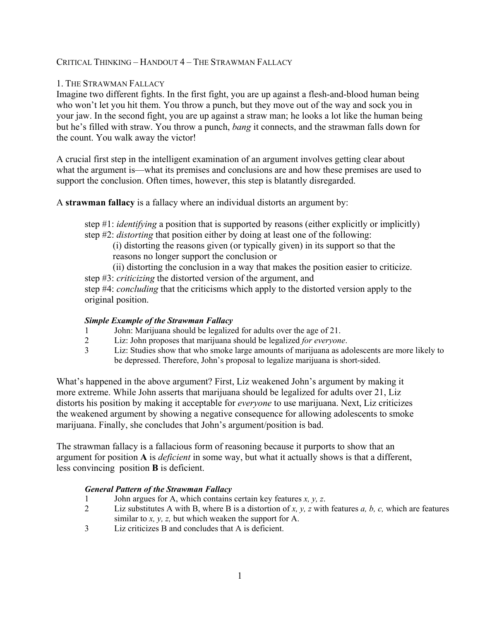CRITICAL THINKING – HANDOUT 4 – THE STRAWMAN FALLACY

## 1. THE STRAWMAN FALLACY

Imagine two different fights. In the first fight, you are up against a flesh-and-blood human being who won't let you hit them. You throw a punch, but they move out of the way and sock you in your jaw. In the second fight, you are up against a straw man; he looks a lot like the human being but he's filled with straw. You throw a punch, *bang* it connects, and the strawman falls down for the count. You walk away the victor!

A crucial first step in the intelligent examination of an argument involves getting clear about what the argument is—what its premises and conclusions are and how these premises are used to support the conclusion. Often times, however, this step is blatantly disregarded.

A **strawman fallacy** is a fallacy where an individual distorts an argument by:

step #1: *identifying* a position that is supported by reasons (either explicitly or implicitly) step #2: *distorting* that position either by doing at least one of the following:

(i) distorting the reasons given (or typically given) in its support so that the reasons no longer support the conclusion or

(ii) distorting the conclusion in a way that makes the position easier to criticize.

step #3: *criticizing* the distorted version of the argument, and

step #4: *concluding* that the criticisms which apply to the distorted version apply to the original position.

### *Simple Example of the Strawman Fallacy*

- 1 John: Marijuana should be legalized for adults over the age of 21.<br>2 Liz: John proposes that marijuana should be legalized *for everyone*
- 2 Liz: John proposes that marijuana should be legalized *for everyone*.
- 3 Liz: Studies show that who smoke large amounts of marijuana as adolescents are more likely to be depressed. Therefore, John's proposal to legalize marijuana is short-sided.

What's happened in the above argument? First, Liz weakened John's argument by making it more extreme. While John asserts that marijuana should be legalized for adults over 21, Liz distorts his position by making it acceptable for *everyone* to use marijuana. Next, Liz criticizes the weakened argument by showing a negative consequence for allowing adolescents to smoke marijuana. Finally, she concludes that John's argument/position is bad.

The strawman fallacy is a fallacious form of reasoning because it purports to show that an argument for position **A** is *deficient* in some way, but what it actually shows is that a different, less convincing position **B** is deficient.

### *General Pattern of the Strawman Fallacy*

- 1 John argues for A, which contains certain key features *x, y, z*.
- 2 Liz substitutes A with B, where B is a distortion of *x, y, z* with features *a, b, c,* which are features similar to *x, y, z,* but which weaken the support for A.
- 3 Liz criticizes B and concludes that A is deficient.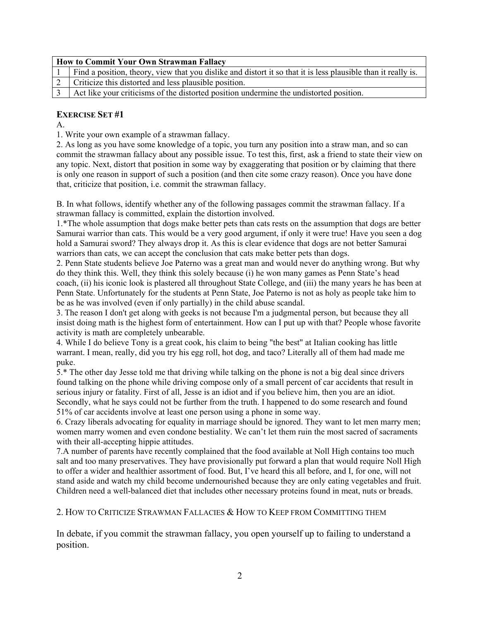| How to Commit Your Own Strawman Fallacy |                                                                                                               |  |
|-----------------------------------------|---------------------------------------------------------------------------------------------------------------|--|
|                                         | Find a position, theory, view that you dislike and distort it so that it is less plausible than it really is. |  |
|                                         | Criticize this distorted and less plausible position.                                                         |  |
|                                         | Act like your criticisms of the distorted position undermine the undistorted position.                        |  |

## **EXERCISE SET #1**

A.

1. Write your own example of a strawman fallacy.

2. As long as you have some knowledge of a topic, you turn any position into a straw man, and so can commit the strawman fallacy about any possible issue. To test this, first, ask a friend to state their view on any topic. Next, distort that position in some way by exaggerating that position or by claiming that there is only one reason in support of such a position (and then cite some crazy reason). Once you have done that, criticize that position, i.e. commit the strawman fallacy.

B. In what follows, identify whether any of the following passages commit the strawman fallacy. If a strawman fallacy is committed, explain the distortion involved.

1.\*The whole assumption that dogs make better pets than cats rests on the assumption that dogs are better Samurai warrior than cats. This would be a very good argument, if only it were true! Have you seen a dog hold a Samurai sword? They always drop it. As this is clear evidence that dogs are not better Samurai warriors than cats, we can accept the conclusion that cats make better pets than dogs.

2. Penn State students believe Joe Paterno was a great man and would never do anything wrong. But why do they think this. Well, they think this solely because (i) he won many games as Penn State's head coach, (ii) his iconic look is plastered all throughout State College, and (iii) the many years he has been at Penn State. Unfortunately for the students at Penn State, Joe Paterno is not as holy as people take him to be as he was involved (even if only partially) in the child abuse scandal.

3. The reason I don't get along with geeks is not because I'm a judgmental person, but because they all insist doing math is the highest form of entertainment. How can I put up with that? People whose favorite activity is math are completely unbearable.

4. While I do believe Tony is a great cook, his claim to being "the best" at Italian cooking has little warrant. I mean, really, did you try his egg roll, hot dog, and taco? Literally all of them had made me puke.

5.\* The other day Jesse told me that driving while talking on the phone is not a big deal since drivers found talking on the phone while driving compose only of a small percent of car accidents that result in serious injury or fatality. First of all, Jesse is an idiot and if you believe him, then you are an idiot. Secondly, what he says could not be further from the truth. I happened to do some research and found 51% of car accidents involve at least one person using a phone in some way.

6. Crazy liberals advocating for equality in marriage should be ignored. They want to let men marry men; women marry women and even condone bestiality. We can't let them ruin the most sacred of sacraments with their all-accepting hippie attitudes.

7.A number of parents have recently complained that the food available at Noll High contains too much salt and too many preservatives. They have provisionally put forward a plan that would require Noll High to offer a wider and healthier assortment of food. But, I've heard this all before, and I, for one, will not stand aside and watch my child become undernourished because they are only eating vegetables and fruit. Children need a well-balanced diet that includes other necessary proteins found in meat, nuts or breads.

2. HOW TO CRITICIZE STRAWMAN FALLACIES & HOW TO KEEP FROM COMMITTING THEM

In debate, if you commit the strawman fallacy, you open yourself up to failing to understand a position.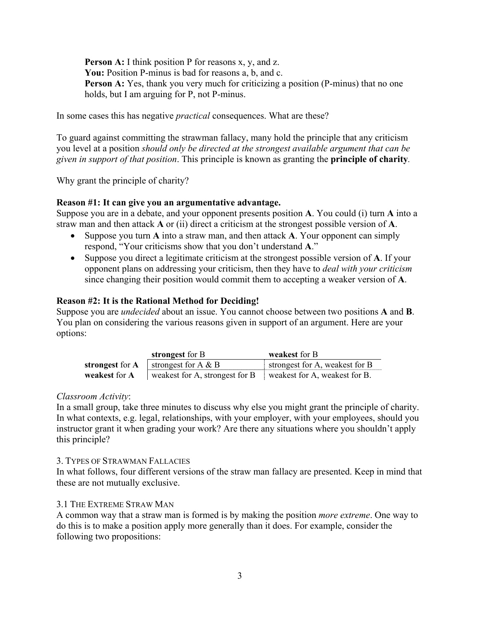**Person A:** I think position P for reasons x, y, and z. You: Position P-minus is bad for reasons a, b, and c. **Person A:** Yes, thank you very much for criticizing a position (P-minus) that no one holds, but I am arguing for P, not P-minus.

In some cases this has negative *practical* consequences. What are these?

To guard against committing the strawman fallacy, many hold the principle that any criticism you level at a position *should only be directed at the strongest available argument that can be given in support of that position*. This principle is known as granting the **principle of charity***.* 

Why grant the principle of charity?

# **Reason #1: It can give you an argumentative advantage.**

Suppose you are in a debate, and your opponent presents position **A**. You could (i) turn **A** into a straw man and then attack **A** or (ii) direct a criticism at the strongest possible version of **A**.

- Suppose you turn **A** into a straw man, and then attack **A**. Your opponent can simply respond, "Your criticisms show that you don't understand **A**."
- Suppose you direct a legitimate criticism at the strongest possible version of **A**. If your opponent plans on addressing your criticism, then they have to *deal with your criticism* since changing their position would commit them to accepting a weaker version of **A**.

# **Reason #2: It is the Rational Method for Deciding!**

Suppose you are *undecided* about an issue. You cannot choose between two positions **A** and **B**. You plan on considering the various reasons given in support of an argument. Here are your options:

|                 | strongest for B                                              | weakest for B                  |
|-----------------|--------------------------------------------------------------|--------------------------------|
| strongest for A | strongest for A $\&$ B                                       | strongest for A, weakest for B |
| weakest for A   | weakest for A, strongest for B weakest for A, weakest for B. |                                |

### *Classroom Activity*:

In a small group, take three minutes to discuss why else you might grant the principle of charity. In what contexts, e.g. legal, relationships, with your employer, with your employees, should you instructor grant it when grading your work? Are there any situations where you shouldn't apply this principle?

### 3. TYPES OF STRAWMAN FALLACIES

In what follows, four different versions of the straw man fallacy are presented. Keep in mind that these are not mutually exclusive.

# 3.1 THE EXTREME STRAW MAN

A common way that a straw man is formed is by making the position *more extreme*. One way to do this is to make a position apply more generally than it does. For example, consider the following two propositions: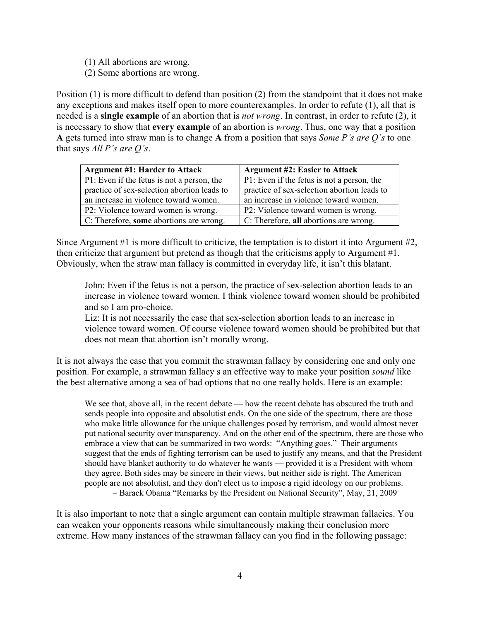- (1) All abortions are wrong.
- (2) Some abortions are wrong.

Position (1) is more difficult to defend than position (2) from the standpoint that it does not make any exceptions and makes itself open to more counterexamples. In order to refute (1), all that is needed is a **single example** of an abortion that is *not wrong*. In contrast, in order to refute (2), it is necessary to show that **every example** of an abortion is *wrong*. Thus, one way that a position **A** gets turned into straw man is to change **A** from a position that says *Some P's are Q's* to one that says *All P's are Q's*.

| <b>Argument #1: Harder to Attack</b>           | <b>Argument #2: Easier to Attack</b>        |
|------------------------------------------------|---------------------------------------------|
| P1: Even if the fetus is not a person, the     | P1: Even if the fetus is not a person, the  |
| practice of sex-selection abortion leads to    | practice of sex-selection abortion leads to |
| an increase in violence toward women.          | an increase in violence toward women.       |
| P2: Violence toward women is wrong.            | P2: Violence toward women is wrong.         |
| $\mid$ C: Therefore, some abortions are wrong. | C: Therefore, all abortions are wrong.      |

Since Argument #1 is more difficult to criticize, the temptation is to distort it into Argument #2, then criticize that argument but pretend as though that the criticisms apply to Argument #1. Obviously, when the straw man fallacy is committed in everyday life, it isn't this blatant.

John: Even if the fetus is not a person, the practice of sex-selection abortion leads to an increase in violence toward women. I think violence toward women should be prohibited and so I am pro-choice.

Liz: It is not necessarily the case that sex-selection abortion leads to an increase in violence toward women. Of course violence toward women should be prohibited but that does not mean that abortion isn't morally wrong.

It is not always the case that you commit the strawman fallacy by considering one and only one position. For example, a strawman fallacy s an effective way to make your position *sound* like the best alternative among a sea of bad options that no one really holds. Here is an example:

We see that, above all, in the recent debate — how the recent debate has obscured the truth and sends people into opposite and absolutist ends. On the one side of the spectrum, there are those who make little allowance for the unique challenges posed by terrorism, and would almost never put national security over transparency. And on the other end of the spectrum, there are those who embrace a view that can be summarized in two words: "Anything goes." Their arguments suggest that the ends of fighting terrorism can be used to justify any means, and that the President should have blanket authority to do whatever he wants — provided it is a President with whom they agree. Both sides may be sincere in their views, but neither side is right. The American people are not absolutist, and they don't elect us to impose a rigid ideology on our problems. – Barack Obama "Remarks by the President on National Security", May, 21, 2009

It is also important to note that a single argument can contain multiple strawman fallacies. You can weaken your opponents reasons while simultaneously making their conclusion more extreme. How many instances of the strawman fallacy can you find in the following passage: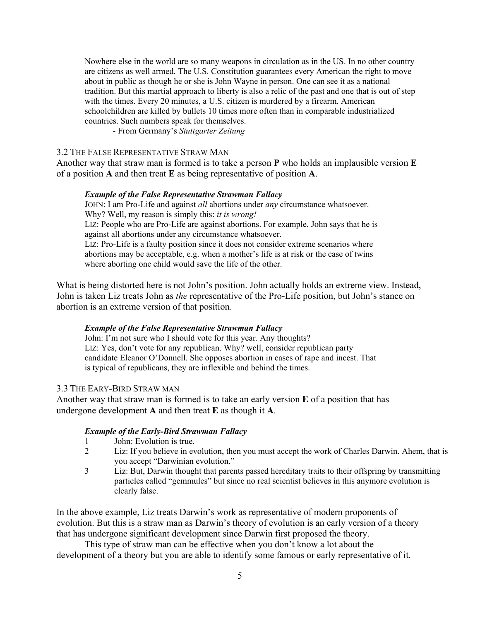Nowhere else in the world are so many weapons in circulation as in the US. In no other country are citizens as well armed. The U.S. Constitution guarantees every American the right to move about in public as though he or she is John Wayne in person. One can see it as a national tradition. But this martial approach to liberty is also a relic of the past and one that is out of step with the times. Every 20 minutes, a U.S. citizen is murdered by a firearm. American schoolchildren are killed by bullets 10 times more often than in comparable industrialized countries. Such numbers speak for themselves.

- From Germany's *Stuttgarter Zeitung*

#### 3.2 THE FALSE REPRESENTATIVE STRAW MAN

Another way that straw man is formed is to take a person **P** who holds an implausible version **E**  of a position **A** and then treat **E** as being representative of position **A**.

#### *Example of the False Representative Strawman Fallacy*

JOHN: I am Pro-Life and against *all* abortions under *any* circumstance whatsoever. Why? Well, my reason is simply this: *it is wrong!* LIZ: People who are Pro-Life are against abortions. For example, John says that he is against all abortions under any circumstance whatsoever. LIZ: Pro-Life is a faulty position since it does not consider extreme scenarios where abortions may be acceptable, e.g. when a mother's life is at risk or the case of twins where aborting one child would save the life of the other.

What is being distorted here is not John's position. John actually holds an extreme view. Instead, John is taken Liz treats John as *the* representative of the Pro-Life position, but John's stance on abortion is an extreme version of that position.

#### *Example of the False Representative Strawman Fallacy*

John: I'm not sure who I should vote for this year. Any thoughts? LIZ: Yes, don't vote for any republican. Why? well, consider republican party candidate Eleanor O'Donnell. She opposes abortion in cases of rape and incest. That is typical of republicans, they are inflexible and behind the times.

## 3.3 THE EARY-BIRD STRAW MAN

Another way that straw man is formed is to take an early version **E** of a position that has undergone development **A** and then treat **E** as though it **A**.

#### *Example of the Early-Bird Strawman Fallacy*

- 1 John: Evolution is true.
- 2 Liz: If you believe in evolution, then you must accept the work of Charles Darwin. Ahem, that is you accept "Darwinian evolution."
- 3 Liz: But, Darwin thought that parents passed hereditary traits to their offspring by transmitting particles called "gemmules" but since no real scientist believes in this anymore evolution is clearly false.

In the above example, Liz treats Darwin's work as representative of modern proponents of evolution. But this is a straw man as Darwin's theory of evolution is an early version of a theory that has undergone significant development since Darwin first proposed the theory.

This type of straw man can be effective when you don't know a lot about the development of a theory but you are able to identify some famous or early representative of it.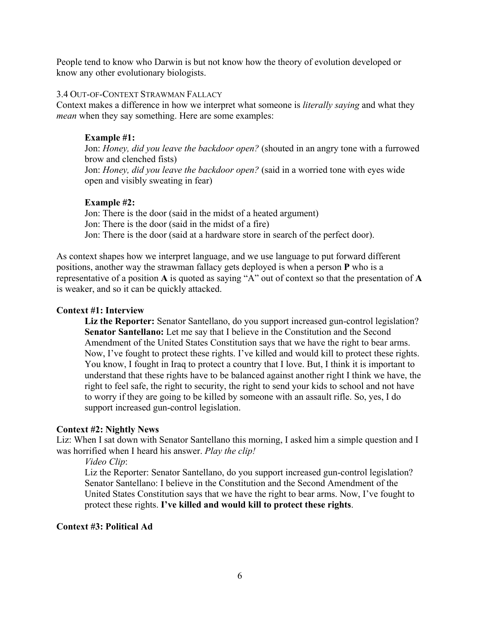People tend to know who Darwin is but not know how the theory of evolution developed or know any other evolutionary biologists.

#### 3.4 OUT-OF-CONTEXT STRAWMAN FALLACY

Context makes a difference in how we interpret what someone is *literally saying* and what they *mean* when they say something. Here are some examples:

## **Example #1:**

Jon: *Honey, did you leave the backdoor open?* (shouted in an angry tone with a furrowed brow and clenched fists) Jon: *Honey, did you leave the backdoor open?* (said in a worried tone with eyes wide open and visibly sweating in fear)

## **Example #2:**

Jon: There is the door (said in the midst of a heated argument) Jon: There is the door (said in the midst of a fire) Jon: There is the door (said at a hardware store in search of the perfect door).

As context shapes how we interpret language, and we use language to put forward different positions, another way the strawman fallacy gets deployed is when a person **P** who is a representative of a position **A** is quoted as saying "A" out of context so that the presentation of **A** is weaker, and so it can be quickly attacked.

## **Context #1: Interview**

**Liz the Reporter:** Senator Santellano, do you support increased gun-control legislation? **Senator Santellano:** Let me say that I believe in the Constitution and the Second Amendment of the United States Constitution says that we have the right to bear arms. Now, I've fought to protect these rights. I've killed and would kill to protect these rights. You know, I fought in Iraq to protect a country that I love. But, I think it is important to understand that these rights have to be balanced against another right I think we have, the right to feel safe, the right to security, the right to send your kids to school and not have to worry if they are going to be killed by someone with an assault rifle. So, yes, I do support increased gun-control legislation.

### **Context #2: Nightly News**

Liz: When I sat down with Senator Santellano this morning, I asked him a simple question and I was horrified when I heard his answer. *Play the clip!*

*Video Clip*:

Liz the Reporter: Senator Santellano, do you support increased gun-control legislation? Senator Santellano: I believe in the Constitution and the Second Amendment of the United States Constitution says that we have the right to bear arms. Now, I've fought to protect these rights. **I've killed and would kill to protect these rights**.

### **Context #3: Political Ad**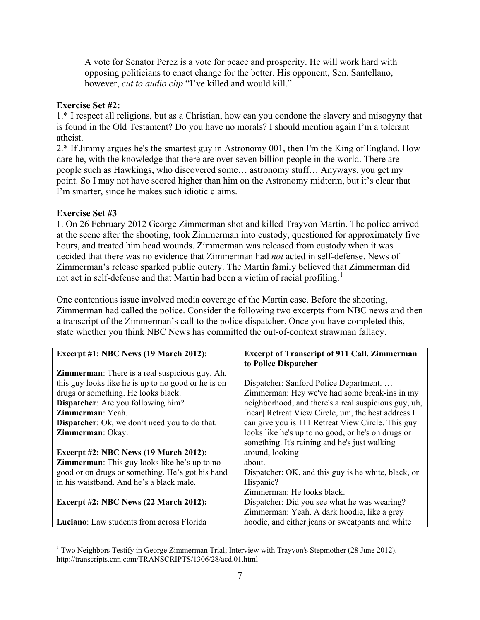A vote for Senator Perez is a vote for peace and prosperity. He will work hard with opposing politicians to enact change for the better. His opponent, Sen. Santellano, however, *cut to audio clip* "I've killed and would kill."

## **Exercise Set #2:**

1.\* I respect all religions, but as a Christian, how can you condone the slavery and misogyny that is found in the Old Testament? Do you have no morals? I should mention again I'm a tolerant atheist.

2.\* If Jimmy argues he's the smartest guy in Astronomy 001, then I'm the King of England. How dare he, with the knowledge that there are over seven billion people in the world. There are people such as Hawkings, who discovered some… astronomy stuff… Anyways, you get my point. So I may not have scored higher than him on the Astronomy midterm, but it's clear that I'm smarter, since he makes such idiotic claims.

# **Exercise Set #3**

1. On 26 February 2012 George Zimmerman shot and killed Trayvon Martin. The police arrived at the scene after the shooting, took Zimmerman into custody, questioned for approximately five hours, and treated him head wounds. Zimmerman was released from custody when it was decided that there was no evidence that Zimmerman had *not* acted in self-defense. News of Zimmerman's release sparked public outcry. The Martin family believed that Zimmerman did not act in self-defense and that Martin had been a victim of racial profiling.<sup>[1](#page-6-0)</sup>

One contentious issue involved media coverage of the Martin case. Before the shooting, Zimmerman had called the police. Consider the following two excerpts from NBC news and then a transcript of the Zimmerman's call to the police dispatcher. Once you have completed this, state whether you think NBC News has committed the out-of-context strawman fallacy.

| <b>Excerpt #1: NBC News (19 March 2012):</b>           | <b>Excerpt of Transcript of 911 Call. Zimmerman</b>  |
|--------------------------------------------------------|------------------------------------------------------|
|                                                        | to Police Dispatcher                                 |
| <b>Zimmerman</b> : There is a real suspicious guy. Ah, |                                                      |
| this guy looks like he is up to no good or he is on    | Dispatcher: Sanford Police Department                |
| drugs or something. He looks black.                    | Zimmerman: Hey we've had some break-ins in my        |
| <b>Dispatcher:</b> Are you following him?              | neighborhood, and there's a real suspicious guy, uh, |
| <b>Zimmerman</b> : Yeah.                               | [near] Retreat View Circle, um, the best address I   |
| <b>Dispatcher:</b> Ok, we don't need you to do that.   | can give you is 111 Retreat View Circle. This guy    |
| Zimmerman: Okay.                                       | looks like he's up to no good, or he's on drugs or   |
|                                                        | something. It's raining and he's just walking        |
| <b>Excerpt #2: NBC News (19 March 2012):</b>           | around, looking                                      |
| <b>Zimmerman:</b> This guy looks like he's up to no    | about.                                               |
| good or on drugs or something. He's got his hand       | Dispatcher: OK, and this guy is he white, black, or  |
| in his waistband. And he's a black male.               | Hispanic?                                            |
|                                                        | Zimmerman: He looks black.                           |
| <b>Excerpt #2: NBC News (22 March 2012):</b>           | Dispatcher: Did you see what he was wearing?         |
|                                                        | Zimmerman: Yeah. A dark hoodie, like a grey          |
| <b>Luciano:</b> Law students from across Florida       | hoodie, and either jeans or sweatpants and white     |

<span id="page-6-0"></span><sup>&</sup>lt;sup>1</sup> Two Neighbors Testify in George Zimmerman Trial; Interview with Trayvon's Stepmother (28 June 2012). http://transcripts.cnn.com/TRANSCRIPTS/1306/28/acd.01.html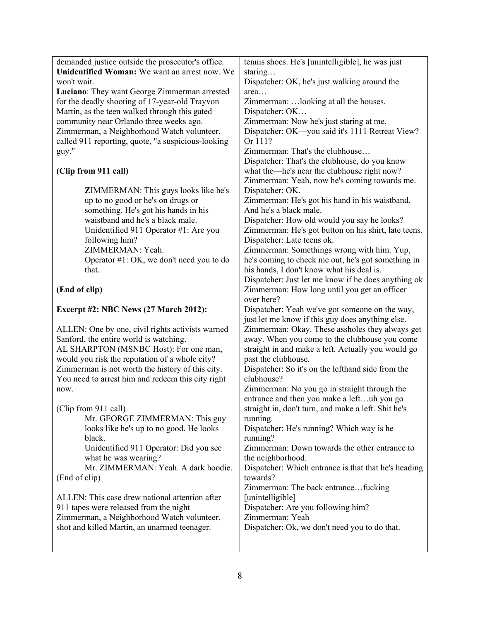| demanded justice outside the prosecutor's office.                         | tennis shoes. He's [unintelligible], he was just                                             |
|---------------------------------------------------------------------------|----------------------------------------------------------------------------------------------|
| Unidentified Woman: We want an arrest now. We                             | staring                                                                                      |
| won't wait.                                                               | Dispatcher: OK, he's just walking around the                                                 |
| Luciano: They want George Zimmerman arrested                              | area                                                                                         |
| for the deadly shooting of 17-year-old Trayvon                            | Zimmerman:  looking at all the houses.                                                       |
| Martin, as the teen walked through this gated                             | Dispatcher: OK                                                                               |
| community near Orlando three weeks ago.                                   | Zimmerman: Now he's just staring at me.                                                      |
| Zimmerman, a Neighborhood Watch volunteer,                                | Dispatcher: OK—you said it's 1111 Retreat View?                                              |
| called 911 reporting, quote, "a suspicious-looking                        | Or 111?                                                                                      |
| guy."                                                                     | Zimmerman: That's the clubhouse                                                              |
| (Clip from 911 call)                                                      | Dispatcher: That's the clubhouse, do you know<br>what the—he's near the clubhouse right now? |
|                                                                           | Zimmerman: Yeah, now he's coming towards me.<br>Dispatcher: OK.                              |
| ZIMMERMAN: This guys looks like he's<br>up to no good or he's on drugs or |                                                                                              |
| something. He's got his hands in his                                      | Zimmerman: He's got his hand in his waistband.<br>And he's a black male.                     |
| waistband and he's a black male.                                          | Dispatcher: How old would you say he looks?                                                  |
| Unidentified 911 Operator #1: Are you                                     | Zimmerman: He's got button on his shirt, late teens.                                         |
| following him?                                                            | Dispatcher: Late teens ok.                                                                   |
| ZIMMERMAN: Yeah.                                                          | Zimmerman: Somethings wrong with him. Yup,                                                   |
| Operator #1: OK, we don't need you to do                                  | he's coming to check me out, he's got something in                                           |
| that.                                                                     | his hands, I don't know what his deal is.                                                    |
|                                                                           | Dispatcher: Just let me know if he does anything ok                                          |
| (End of clip)                                                             | Zimmerman: How long until you get an officer<br>over here?                                   |
| <b>Excerpt #2: NBC News (27 March 2012):</b>                              | Dispatcher: Yeah we've got someone on the way,                                               |
|                                                                           | just let me know if this guy does anything else.                                             |
| ALLEN: One by one, civil rights activists warned                          | Zimmerman: Okay. These assholes they always get                                              |
| Sanford, the entire world is watching.                                    | away. When you come to the clubhouse you come                                                |
| AL SHARPTON (MSNBC Host): For one man,                                    | straight in and make a left. Actually you would go                                           |
| would you risk the reputation of a whole city?                            | past the clubhouse.                                                                          |
| Zimmerman is not worth the history of this city.                          | Dispatcher: So it's on the lefthand side from the                                            |
| You need to arrest him and redeem this city right                         | clubhouse?                                                                                   |
| now.                                                                      | Zimmerman: No you go in straight through the                                                 |
|                                                                           | entrance and then you make a leftuh you go                                                   |
| (Clip from 911 call)                                                      | straight in, don't turn, and make a left. Shit he's                                          |
| Mr. GEORGE ZIMMERMAN: This guy                                            | running.                                                                                     |
| looks like he's up to no good. He looks                                   | Dispatcher: He's running? Which way is he                                                    |
| black.                                                                    | running?                                                                                     |
| Unidentified 911 Operator: Did you see                                    | Zimmerman: Down towards the other entrance to                                                |
| what he was wearing?                                                      | the neighborhood.                                                                            |
| Mr. ZIMMERMAN: Yeah. A dark hoodie.                                       | Dispatcher: Which entrance is that that he's heading                                         |
| (End of clip)                                                             | towards?                                                                                     |
|                                                                           | Zimmerman: The back entrancefucking                                                          |
| ALLEN: This case drew national attention after                            | [unintelligible]                                                                             |
| 911 tapes were released from the night                                    | Dispatcher: Are you following him?<br>Zimmerman: Yeah                                        |
| Zimmerman, a Neighborhood Watch volunteer,                                |                                                                                              |
| shot and killed Martin, an unarmed teenager.                              | Dispatcher: Ok, we don't need you to do that.                                                |